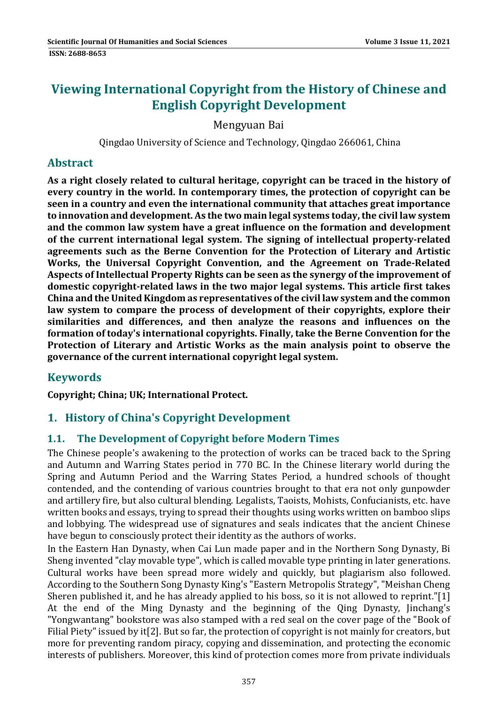# **Viewing International Copyright from the History of Chinese and English Copyright Development**

### Mengyuan Bai

Qingdao University of Science and Technology, Qingdao 266061, China

### **Abstract**

**As a right closely related to cultural heritage, copyright can be traced in the history of every country in the world. In contemporary times, the protection of copyright can be seen in a country and even the international community that attaches great importance to innovation and development. As the two main legal systems today,the civil law system and the common law system have a great influence on the formation and development of the current international legal system. The signing of intellectual property‐related agreements such as the Berne Convention for the Protection of Literary and Artistic Works, the Universal Copyright Convention, and the Agreement on Trade‐Related Aspects of Intellectual Property Rights can be seen as the synergy of the improvement of domestic copyright‐related laws in the two major legal systems. This article first takes China and the UnitedKingdom as representatives ofthe civil law system and the common law system to compare the process of development of their copyrights, explore their similarities and differences, and then analyze the reasons and influences on the formation of today's international copyrights. Finally, take the Berne Convention for the Protection of Literary and Artistic Works as the main analysis point to observe the governance of the current international copyright legal system.**

# **Keywords**

**Copyright; China; UK; International Protect.** 

# **1. History of China's Copyright Development**

#### **1.1. The Development of Copyright before Modern Times**

The Chinese people's awakening to the protection of works can be traced back to the Spring and Autumn and Warring States period in 770 BC. In the Chinese literary world during the Spring and Autumn Period and the Warring States Period, a hundred schools of thought contended, and the contending of various countries brought to that era not only gunpowder and artillery fire, but also cultural blending. Legalists, Taoists, Mohists, Confucianists, etc. have written books and essays, trying to spread their thoughts using works written on bamboo slips and lobbying. The widespread use of signatures and seals indicates that the ancient Chinese have begun to consciously protect their identity as the authors of works.

In the Eastern Han Dynasty, when Cai Lun made paper and in the Northern Song Dynasty, Bi Sheng invented "clay movable type", which is called movable type printing in later generations. Cultural works have been spread more widely and quickly, but plagiarism also followed. According to the Southern Song Dynasty King's "Eastern Metropolis Strategy", "Meishan Cheng Sheren published it, and he has already applied to his boss, so it is not allowed to reprint."[1] At the end of the Ming Dynasty and the beginning of the Qing Dynasty, Jinchang's "Yongwantang" bookstore was also stamped with a red seal on the cover page of the "Book of Filial Piety" issued by it<sup>[2]</sup>. But so far, the protection of copyright is not mainly for creators, but more for preventing random piracy, copying and dissemination, and protecting the economic interests of publishers. Moreover, this kind of protection comes more from private individuals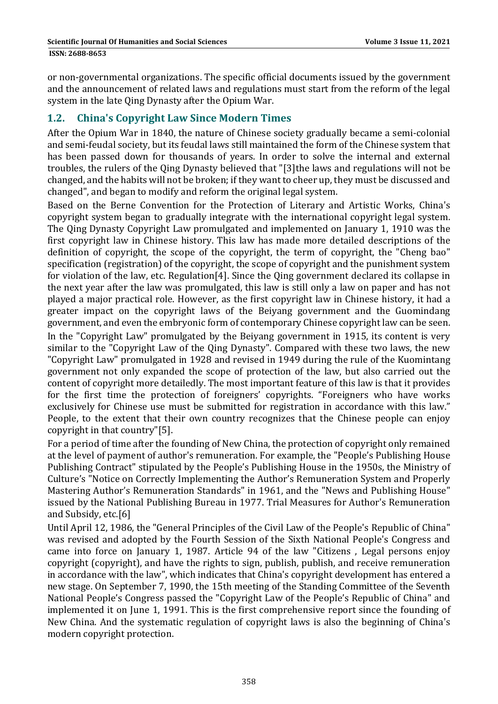or non-governmental organizations. The specific official documents issued by the government and the announcement of related laws and regulations must start from the reform of the legal system in the late Qing Dynasty after the Opium War.

## **1.2. China's Copyright Law Since Modern Times**

After the Opium War in 1840, the nature of Chinese society gradually became a semi-colonial and semi-feudal society, but its feudal laws still maintained the form of the Chinese system that has been passed down for thousands of years. In order to solve the internal and external troubles, the rulers of the Qing Dynasty believed that "[3]the laws and regulations will not be changed, and the habits will not be broken; if they want to cheer up, they must be discussed and changed", and began to modify and reform the original legal system.

Based on the Berne Convention for the Protection of Literary and Artistic Works, China's copyright system began to gradually integrate with the international copyright legal system. The Qing Dynasty Copyright Law promulgated and implemented on January 1, 1910 was the first copyright law in Chinese history. This law has made more detailed descriptions of the definition of copyright, the scope of the copyright, the term of copyright, the "Cheng bao" specification (registration) of the copyright, the scope of copyright and the punishment system for violation of the law, etc. Regulation[4]. Since the Qing government declared its collapse in the next year after the law was promulgated, this law is still only a law on paper and has not played a major practical role. However, as the first copyright law in Chinese history, it had a greater impact on the copyright laws of the Beiyang government and the Guomindang government, and even the embryonic form of contemporary Chinese copyright law can be seen. In the "Copyright Law" promulgated by the Beiyang government in 1915, its content is very similar to the "Copyright Law of the Qing Dynasty". Compared with these two laws, the new "Copyright Law" promulgated in 1928 and revised in 1949 during the rule of the Kuomintang government not only expanded the scope of protection of the law, but also carried out the content of copyright more detailedly. The most important feature of this law is that it provides for the first time the protection of foreigners' copyrights. "Foreigners who have works exclusively for Chinese use must be submitted for registration in accordance with this law." People, to the extent that their own country recognizes that the Chinese people can enjoy copyright in that country" $[5]$ .

For a period of time after the founding of New China, the protection of copyright only remained at the level of payment of author's remuneration. For example, the "People's Publishing House Publishing Contract" stipulated by the People's Publishing House in the 1950s, the Ministry of Culture's "Notice on Correctly Implementing the Author's Remuneration System and Properly Mastering Author's Remuneration Standards" in 1961, and the "News and Publishing House" issued by the National Publishing Bureau in 1977. Trial Measures for Author's Remuneration and Subsidy, etc.<sup>[6]</sup>

Until April 12, 1986, the "General Principles of the Civil Law of the People's Republic of China" was revised and adopted by the Fourth Session of the Sixth National People's Congress and came into force on January 1, 1987. Article 94 of the law "Citizens, Legal persons enjoy copyright (copyright), and have the rights to sign, publish, publish, and receive remuneration in accordance with the law", which indicates that China's copyright development has entered a new stage. On September 7, 1990, the 15th meeting of the Standing Committee of the Seventh National People's Congress passed the "Copyright Law of the People's Republic of China" and implemented it on June 1, 1991. This is the first comprehensive report since the founding of New China. And the systematic regulation of copyright laws is also the beginning of China's modern copyright protection.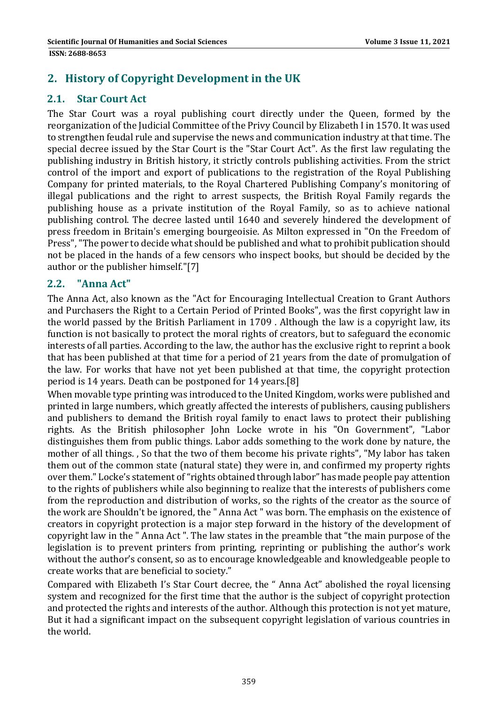# **2. History of Copyright Development in the UK**

#### **2.1. Star Court Act**

The Star Court was a royal publishing court directly under the Queen, formed by the reorganization of the Judicial Committee of the Privy Council by Elizabeth I in 1570. It was used to strengthen feudal rule and supervise the news and communication industry at that time. The special decree issued by the Star Court is the "Star Court Act". As the first law regulating the publishing industry in British history, it strictly controls publishing activities. From the strict control of the import and export of publications to the registration of the Royal Publishing Company for printed materials, to the Royal Chartered Publishing Company's monitoring of illegal publications and the right to arrest suspects, the British Royal Family regards the publishing house as a private institution of the Royal Family, so as to achieve national publishing control. The decree lasted until 1640 and severely hindered the development of press freedom in Britain's emerging bourgeoisie. As Milton expressed in "On the Freedom of Press", "The power to decide what should be published and what to prohibit publication should not be placed in the hands of a few censors who inspect books, but should be decided by the author or the publisher himself."[7]

#### **2.2. "Anna Act"**

The Anna Act, also known as the "Act for Encouraging Intellectual Creation to Grant Authors and Purchasers the Right to a Certain Period of Printed Books", was the first copyright law in the world passed by the British Parliament in 1709. Although the law is a copyright law, its function is not basically to protect the moral rights of creators, but to safeguard the economic interests of all parties. According to the law, the author has the exclusive right to reprint a book that has been published at that time for a period of 21 years from the date of promulgation of the law. For works that have not yet been published at that time, the copyright protection period is 14 years. Death can be postponed for 14 years.[8]

When movable type printing was introduced to the United Kingdom, works were published and printed in large numbers, which greatly affected the interests of publishers, causing publishers and publishers to demand the British royal family to enact laws to protect their publishing rights. As the British philosopher John Locke wrote in his "On Government", "Labor distinguishes them from public things. Labor adds something to the work done by nature, the mother of all things. , So that the two of them become his private rights", "My labor has taken them out of the common state (natural state) they were in, and confirmed my property rights over them." Locke's statement of "rights obtained through labor" has made people pay attention to the rights of publishers while also beginning to realize that the interests of publishers come from the reproduction and distribution of works, so the rights of the creator as the source of the work are Shouldn't be ignored, the "Anna Act " was born. The emphasis on the existence of creators in copyright protection is a major step forward in the history of the development of copyright law in the " Anna Act ". The law states in the preamble that "the main purpose of the legislation is to prevent printers from printing, reprinting or publishing the author's work without the author's consent, so as to encourage knowledgeable and knowledgeable people to create works that are beneficial to society."

Compared with Elizabeth I's Star Court decree, the " Anna Act" abolished the royal licensing system and recognized for the first time that the author is the subject of copyright protection and protected the rights and interests of the author. Although this protection is not yet mature, But it had a significant impact on the subsequent copyright legislation of various countries in the world.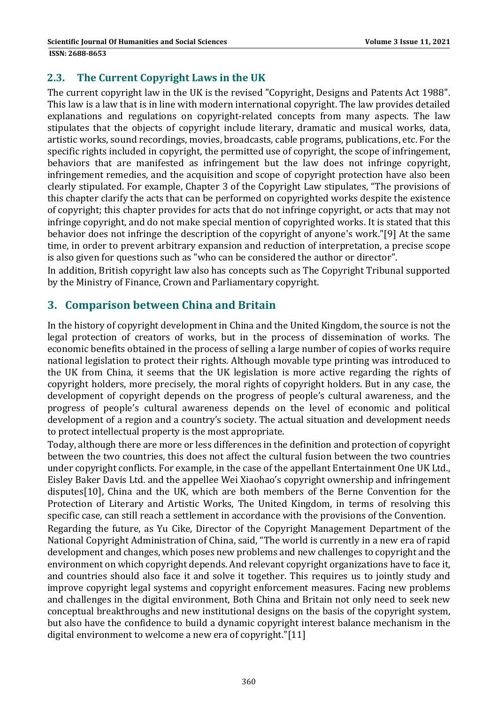## **2.3. The Current Copyright Laws in the UK**

The current copyright law in the UK is the revised "Copyright, Designs and Patents Act 1988". This law is a law that is in line with modern international copyright. The law provides detailed explanations and regulations on copyright-related concepts from many aspects. The law stipulates that the objects of copyright include literary, dramatic and musical works, data, artistic works, sound recordings, movies, broadcasts, cable programs, publications, etc. For the specific rights included in copyright, the permitted use of copyright, the scope of infringement, behaviors that are manifested as infringement but the law does not infringe copyright, infringement remedies, and the acquisition and scope of copyright protection have also been clearly stipulated. For example, Chapter 3 of the Copyright Law stipulates, "The provisions of this chapter clarify the acts that can be performed on copyrighted works despite the existence of copyright; this chapter provides for acts that do not infringe copyright, or acts that may not infringe copyright, and do not make special mention of copyrighted works. It is stated that this behavior does not infringe the description of the copyright of anyone's work."[9] At the same time, in order to prevent arbitrary expansion and reduction of interpretation, a precise scope is also given for questions such as "who can be considered the author or director".

In addition, British copyright law also has concepts such as The Copyright Tribunal supported by the Ministry of Finance, Crown and Parliamentary copyright.

# **3. Comparison between China and Britain**

In the history of copyright development in China and the United Kingdom, the source is not the legal protection of creators of works, but in the process of dissemination of works. The economic benefits obtained in the process of selling a large number of copies of works require national legislation to protect their rights. Although movable type printing was introduced to the UK from China, it seems that the UK legislation is more active regarding the rights of copyright holders, more precisely, the moral rights of copyright holders. But in any case, the development of copyright depends on the progress of people's cultural awareness, and the progress of people's cultural awareness depends on the level of economic and political development of a region and a country's society. The actual situation and development needs to protect intellectual property is the most appropriate.

Today, although there are more or less differences in the definition and protection of copyright between the two countries, this does not affect the cultural fusion between the two countries under copyright conflicts. For example, in the case of the appellant Entertainment One UK Ltd., Eisley Baker Davis Ltd. and the appellee Wei Xiaohao's copyright ownership and infringement disputes[10], China and the UK, which are both members of the Berne Convention for the Protection of Literary and Artistic Works, The United Kingdom, in terms of resolving this specific case, can still reach a settlement in accordance with the provisions of the Convention.

Regarding the future, as Yu Cike, Director of the Copyright Management Department of the National Copyright Administration of China, said, "The world is currently in a new era of rapid development and changes, which poses new problems and new challenges to copyright and the environment on which copyright depends. And relevant copyright organizations have to face it, and countries should also face it and solve it together. This requires us to jointly study and improve copyright legal systems and copyright enforcement measures. Facing new problems and challenges in the digital environment, Both China and Britain not only need to seek new conceptual breakthroughs and new institutional designs on the basis of the copyright system, but also have the confidence to build a dynamic copyright interest balance mechanism in the digital environment to welcome a new era of copyright." $[11]$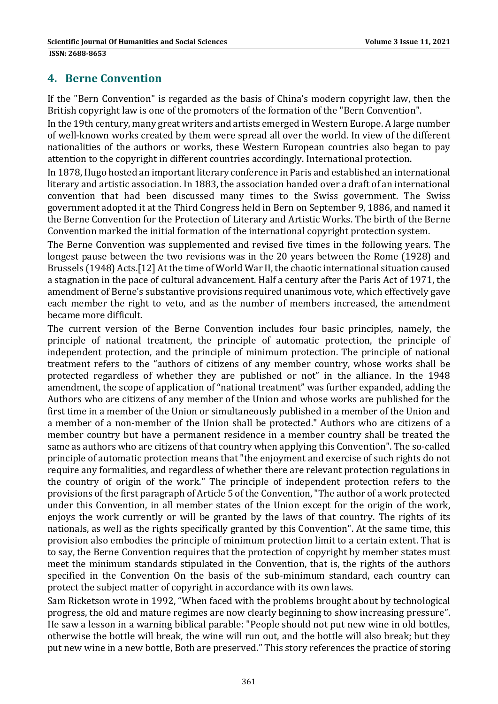## **4. Berne Convention**

If the "Bern Convention" is regarded as the basis of China's modern copyright law, then the British copyright law is one of the promoters of the formation of the "Bern Convention".

In the 19th century, many great writers and artists emerged in Western Europe. A large number of well-known works created by them were spread all over the world. In view of the different nationalities of the authors or works, these Western European countries also began to pay attention to the copyright in different countries accordingly. International protection.

In 1878, Hugo hosted an important literary conference in Paris and established an international literary and artistic association. In 1883, the association handed over a draft of an international convention that had been discussed many times to the Swiss government. The Swiss government adopted it at the Third Congress held in Bern on September 9, 1886, and named it the Berne Convention for the Protection of Literary and Artistic Works. The birth of the Berne Convention marked the initial formation of the international copyright protection system.

The Berne Convention was supplemented and revised five times in the following years. The longest pause between the two revisions was in the 20 years between the Rome (1928) and Brussels (1948) Acts.[12] At the time of World War II, the chaotic international situation caused a stagnation in the pace of cultural advancement. Half a century after the Paris Act of 1971, the amendment of Berne's substantive provisions required unanimous vote, which effectively gave each member the right to veto, and as the number of members increased, the amendment became more difficult.

The current version of the Berne Convention includes four basic principles, namely, the principle of national treatment, the principle of automatic protection, the principle of independent protection, and the principle of minimum protection. The principle of national treatment refers to the "authors of citizens of any member country, whose works shall be protected regardless of whether they are published or not" in the alliance. In the 1948 amendment, the scope of application of "national treatment" was further expanded, adding the Authors who are citizens of any member of the Union and whose works are published for the first time in a member of the Union or simultaneously published in a member of the Union and a member of a non-member of the Union shall be protected." Authors who are citizens of a member country but have a permanent residence in a member country shall be treated the same as authors who are citizens of that country when applying this Convention". The so-called principle of automatic protection means that "the enjoyment and exercise of such rights do not require any formalities, and regardless of whether there are relevant protection regulations in the country of origin of the work." The principle of independent protection refers to the provisions of the first paragraph of Article 5 of the Convention, "The author of a work protected under this Convention, in all member states of the Union except for the origin of the work, enjoys the work currently or will be granted by the laws of that country. The rights of its nationals, as well as the rights specifically granted by this Convention". At the same time, this provision also embodies the principle of minimum protection limit to a certain extent. That is to say, the Berne Convention requires that the protection of copyright by member states must meet the minimum standards stipulated in the Convention, that is, the rights of the authors specified in the Convention On the basis of the sub-minimum standard, each country can protect the subject matter of copyright in accordance with its own laws.

Sam Ricketson wrote in 1992, "When faced with the problems brought about by technological progress, the old and mature regimes are now clearly beginning to show increasing pressure". He saw a lesson in a warning biblical parable: "People should not put new wine in old bottles, otherwise the bottle will break, the wine will run out, and the bottle will also break; but they put new wine in a new bottle, Both are preserved." This story references the practice of storing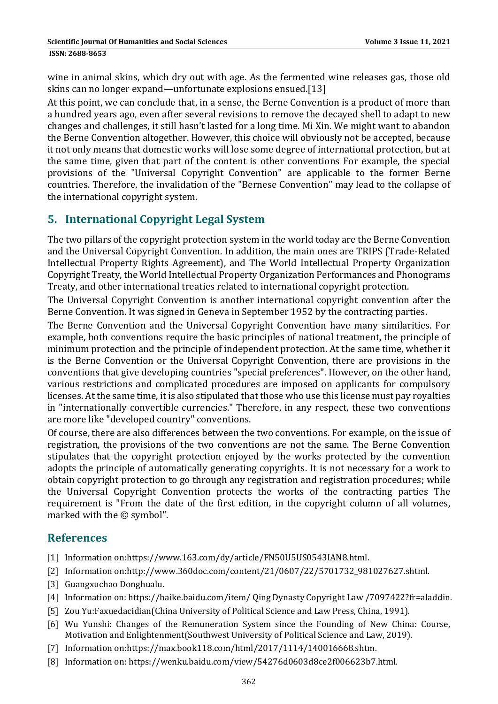wine in animal skins, which dry out with age. As the fermented wine releases gas, those old skins can no longer expand—unfortunate explosions ensued.[13]

At this point, we can conclude that, in a sense, the Berne Convention is a product of more than a hundred years ago, even after several revisions to remove the decayed shell to adapt to new changes and challenges, it still hasn't lasted for a long time. Mi Xin. We might want to abandon the Berne Convention altogether. However, this choice will obviously not be accepted, because it not only means that domestic works will lose some degree of international protection, but at the same time, given that part of the content is other conventions For example, the special provisions of the "Universal Copyright Convention" are applicable to the former Berne countries. Therefore, the invalidation of the "Bernese Convention" may lead to the collapse of the international copyright system.

# **5. International Copyright Legal System**

The two pillars of the copyright protection system in the world today are the Berne Convention and the Universal Copyright Convention. In addition, the main ones are TRIPS (Trade-Related Intellectual Property Rights Agreement), and The World Intellectual Property Organization Copyright Treaty, the World Intellectual Property Organization Performances and Phonograms Treaty, and other international treaties related to international copyright protection.

The Universal Copyright Convention is another international copyright convention after the Berne Convention. It was signed in Geneva in September 1952 by the contracting parties.

The Berne Convention and the Universal Copyright Convention have many similarities. For example, both conventions require the basic principles of national treatment, the principle of minimum protection and the principle of independent protection. At the same time, whether it is the Berne Convention or the Universal Copyright Convention, there are provisions in the conventions that give developing countries "special preferences". However, on the other hand, various restrictions and complicated procedures are imposed on applicants for compulsory licenses. At the same time, it is also stipulated that those who use this license must pay royalties in "internationally convertible currencies." Therefore, in any respect, these two conventions are more like "developed country" conventions.

Of course, there are also differences between the two conventions. For example, on the issue of registration, the provisions of the two conventions are not the same. The Berne Convention stipulates that the copyright protection enjoyed by the works protected by the convention adopts the principle of automatically generating copyrights. It is not necessary for a work to obtain copyright protection to go through any registration and registration procedures; while the Universal Copyright Convention protects the works of the contracting parties The requirement is "From the date of the first edition, in the copyright column of all volumes, marked with the  $\odot$  symbol".

## **References**

- [1] Information on:https://www.163.com/dy/article/FN50U5US0543IAN8.html.
- [2] Information on:http://www.360doc.com/content/21/0607/22/5701732\_981027627.shtml.
- [3] Guangxuchao Donghualu.
- [4] Information on: https://baike.baidu.com/item/ Qing Dynasty Copyright Law /7097422?fr=aladdin.
- [5] Zou Yu:Faxuedacidian(China University of Political Science and Law Press, China, 1991).
- [6] Wu Yunshi: Changes of the Remuneration System since the Founding of New China: Course, Motivation and Enlightenment(Southwest University of Political Science and Law, 2019).
- [7] Information on:https://max.book118.com/html/2017/1114/140016668.shtm.
- [8] Information on: https://wenku.baidu.com/view/54276d0603d8ce2f006623b7.html.